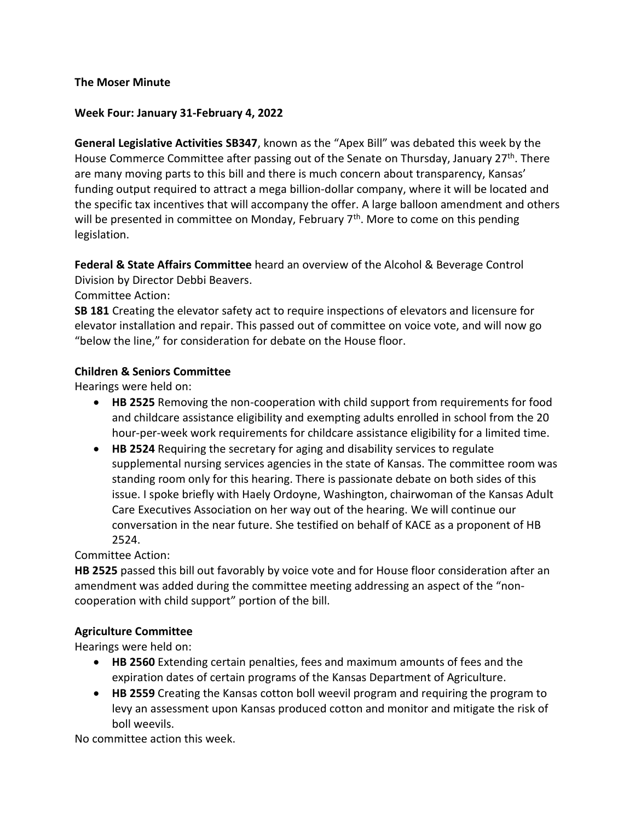## **The Moser Minute**

### **Week Four: January 31-February 4, 2022**

**General Legislative Activities SB347**, known as the "Apex Bill" was debated this week by the House Commerce Committee after passing out of the Senate on Thursday, January 27<sup>th</sup>. There are many moving parts to this bill and there is much concern about transparency, Kansas' funding output required to attract a mega billion-dollar company, where it will be located and the specific tax incentives that will accompany the offer. A large balloon amendment and others will be presented in committee on Monday, February 7<sup>th</sup>. More to come on this pending legislation.

**Federal & State Affairs Committee** heard an overview of the Alcohol & Beverage Control Division by Director Debbi Beavers.

Committee Action:

**SB 181** Creating the elevator safety act to require inspections of elevators and licensure for elevator installation and repair. This passed out of committee on voice vote, and will now go "below the line," for consideration for debate on the House floor.

## **Children & Seniors Committee**

Hearings were held on:

- **HB 2525** Removing the non-cooperation with child support from requirements for food and childcare assistance eligibility and exempting adults enrolled in school from the 20 hour-per-week work requirements for childcare assistance eligibility for a limited time.
- **HB 2524** Requiring the secretary for aging and disability services to regulate supplemental nursing services agencies in the state of Kansas. The committee room was standing room only for this hearing. There is passionate debate on both sides of this issue. I spoke briefly with Haely Ordoyne, Washington, chairwoman of the Kansas Adult Care Executives Association on her way out of the hearing. We will continue our conversation in the near future. She testified on behalf of KACE as a proponent of HB 2524.

Committee Action:

**HB 2525** passed this bill out favorably by voice vote and for House floor consideration after an amendment was added during the committee meeting addressing an aspect of the "noncooperation with child support" portion of the bill.

# **Agriculture Committee**

Hearings were held on:

- **HB 2560** Extending certain penalties, fees and maximum amounts of fees and the expiration dates of certain programs of the Kansas Department of Agriculture.
- **HB 2559** Creating the Kansas cotton boll weevil program and requiring the program to levy an assessment upon Kansas produced cotton and monitor and mitigate the risk of boll weevils.

No committee action this week.